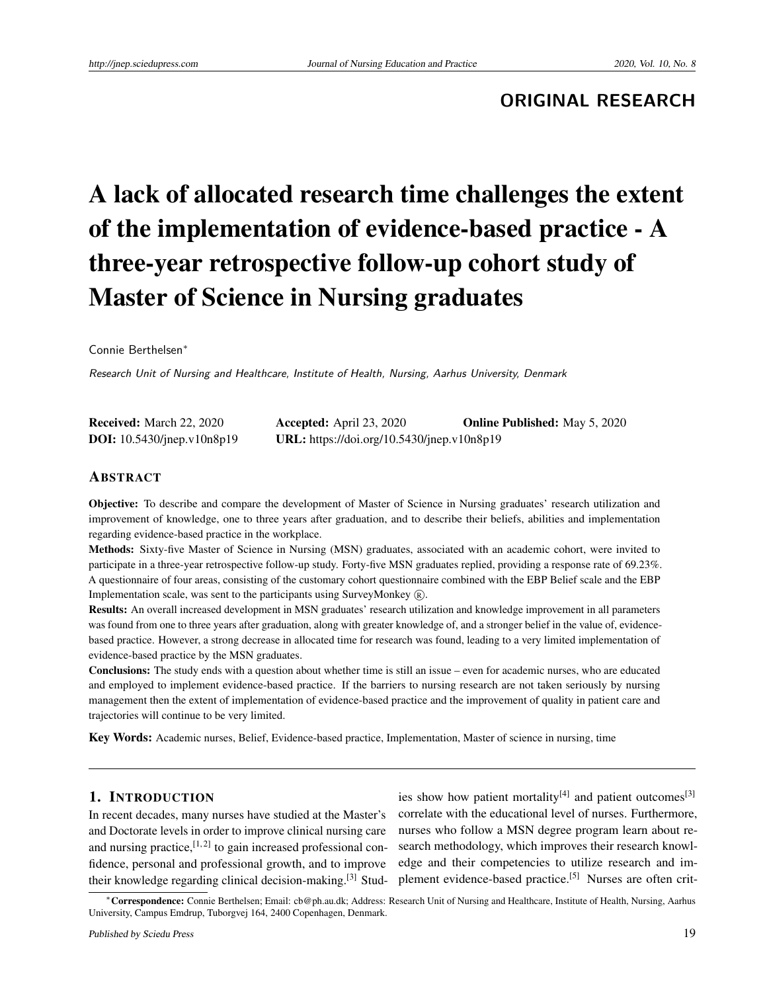## **ORIGINAL RESEARCH**

# A lack of allocated research time challenges the extent of the implementation of evidence-based practice - A three-year retrospective follow-up cohort study of Master of Science in Nursing graduates

Connie Berthelsen<sup>∗</sup>

Research Unit of Nursing and Healthcare, Institute of Health, Nursing, Aarhus University, Denmark

| <b>Received:</b> March 22, 2020   | Accepted: April $23, 2020$                 | <b>Online Published:</b> May 5, 2020 |
|-----------------------------------|--------------------------------------------|--------------------------------------|
| <b>DOI:</b> 10.5430/jnep.v10n8p19 | URL: https://doi.org/10.5430/jnep.v10n8p19 |                                      |

#### ABSTRACT

Objective: To describe and compare the development of Master of Science in Nursing graduates' research utilization and improvement of knowledge, one to three years after graduation, and to describe their beliefs, abilities and implementation regarding evidence-based practice in the workplace.

Methods: Sixty-five Master of Science in Nursing (MSN) graduates, associated with an academic cohort, were invited to participate in a three-year retrospective follow-up study. Forty-five MSN graduates replied, providing a response rate of 69.23%. A questionnaire of four areas, consisting of the customary cohort questionnaire combined with the EBP Belief scale and the EBP Implementation scale, was sent to the participants using SurveyMonkey  $(\hat{\mathbb{R}})$ .

Results: An overall increased development in MSN graduates' research utilization and knowledge improvement in all parameters was found from one to three years after graduation, along with greater knowledge of, and a stronger belief in the value of, evidencebased practice. However, a strong decrease in allocated time for research was found, leading to a very limited implementation of evidence-based practice by the MSN graduates.

Conclusions: The study ends with a question about whether time is still an issue – even for academic nurses, who are educated and employed to implement evidence-based practice. If the barriers to nursing research are not taken seriously by nursing management then the extent of implementation of evidence-based practice and the improvement of quality in patient care and trajectories will continue to be very limited.

Key Words: Academic nurses, Belief, Evidence-based practice, Implementation, Master of science in nursing, time

#### 1. INTRODUCTION

In recent decades, many nurses have studied at the Master's and Doctorate levels in order to improve clinical nursing care and nursing practice,  $[1, 2]$  $[1, 2]$  $[1, 2]$  to gain increased professional confidence, personal and professional growth, and to improve their knowledge regarding clinical decision-making.[\[3\]](#page-9-2) Stud-

ies show how patient mortality<sup>[\[4\]](#page-9-3)</sup> and patient outcomes<sup>[\[3\]](#page-9-2)</sup> correlate with the educational level of nurses. Furthermore, nurses who follow a MSN degree program learn about research methodology, which improves their research knowledge and their competencies to utilize research and im-plement evidence-based practice.<sup>[\[5\]](#page-9-4)</sup> Nurses are often crit-

<sup>∗</sup>Correspondence: Connie Berthelsen; Email: cb@ph.au.dk; Address: Research Unit of Nursing and Healthcare, Institute of Health, Nursing, Aarhus University, Campus Emdrup, Tuborgvej 164, 2400 Copenhagen, Denmark.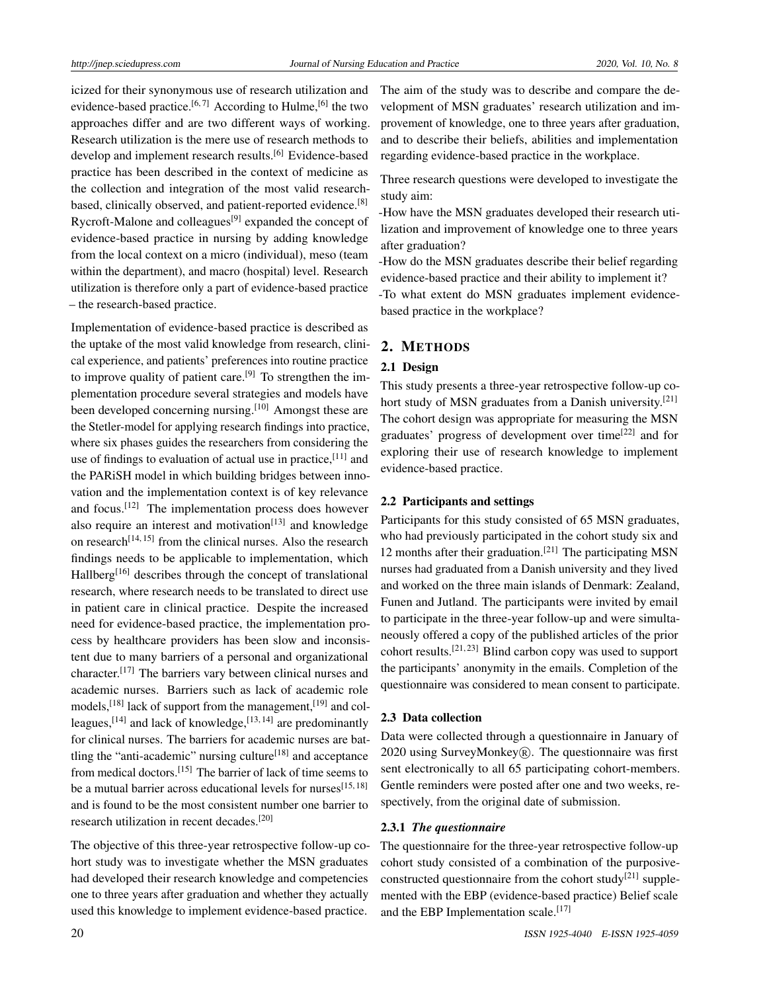icized for their synonymous use of research utilization and evidence-based practice.<sup>[\[6,](#page-9-5)[7\]](#page-9-6)</sup> According to Hulme,<sup>[\[6\]](#page-9-5)</sup> the two approaches differ and are two different ways of working. Research utilization is the mere use of research methods to develop and implement research results.<sup>[\[6\]](#page-9-5)</sup> Evidence-based practice has been described in the context of medicine as the collection and integration of the most valid research-based, clinically observed, and patient-reported evidence.<sup>[\[8\]](#page-9-7)</sup> Rycroft-Malone and colleagues<sup>[\[9\]](#page-9-8)</sup> expanded the concept of evidence-based practice in nursing by adding knowledge from the local context on a micro (individual), meso (team within the department), and macro (hospital) level. Research utilization is therefore only a part of evidence-based practice – the research-based practice.

Implementation of evidence-based practice is described as the uptake of the most valid knowledge from research, clinical experience, and patients' preferences into routine practice to improve quality of patient care.<sup>[\[9\]](#page-9-8)</sup> To strengthen the implementation procedure several strategies and models have been developed concerning nursing.<sup>[\[10\]](#page-9-9)</sup> Amongst these are the Stetler-model for applying research findings into practice, where six phases guides the researchers from considering the use of findings to evaluation of actual use in practice, [\[11\]](#page-9-10) and the PARiSH model in which building bridges between innovation and the implementation context is of key relevance and focus.[\[12\]](#page-9-11) The implementation process does however also require an interest and motivation<sup>[\[13\]](#page-9-12)</sup> and knowledge on research<sup>[\[14,](#page-9-13) [15\]](#page-10-0)</sup> from the clinical nurses. Also the research findings needs to be applicable to implementation, which Hallberg[\[16\]](#page-10-1) describes through the concept of translational research, where research needs to be translated to direct use in patient care in clinical practice. Despite the increased need for evidence-based practice, the implementation process by healthcare providers has been slow and inconsistent due to many barriers of a personal and organizational character.[\[17\]](#page-10-2) The barriers vary between clinical nurses and academic nurses. Barriers such as lack of academic role models,<sup>[\[18\]](#page-10-3)</sup> lack of support from the management,<sup>[\[19\]](#page-10-4)</sup> and col-leagues,<sup>[\[14\]](#page-9-13)</sup> and lack of knowledge,<sup>[\[13,](#page-9-12)[14\]](#page-9-13)</sup> are predominantly for clinical nurses. The barriers for academic nurses are bat-tling the "anti-academic" nursing culture<sup>[\[18\]](#page-10-3)</sup> and acceptance from medical doctors.[\[15\]](#page-10-0) The barrier of lack of time seems to be a mutual barrier across educational levels for nurses<sup>[\[15,](#page-10-0)[18\]](#page-10-3)</sup> and is found to be the most consistent number one barrier to research utilization in recent decades.[\[20\]](#page-10-5)

The objective of this three-year retrospective follow-up cohort study was to investigate whether the MSN graduates had developed their research knowledge and competencies one to three years after graduation and whether they actually used this knowledge to implement evidence-based practice.

The aim of the study was to describe and compare the development of MSN graduates' research utilization and improvement of knowledge, one to three years after graduation, and to describe their beliefs, abilities and implementation regarding evidence-based practice in the workplace.

Three research questions were developed to investigate the study aim:

-How have the MSN graduates developed their research utilization and improvement of knowledge one to three years after graduation?

-How do the MSN graduates describe their belief regarding evidence-based practice and their ability to implement it? -To what extent do MSN graduates implement evidencebased practice in the workplace?

#### 2. METHODS

## 2.1 Design

This study presents a three-year retrospective follow-up co-hort study of MSN graduates from a Danish university.<sup>[\[21\]](#page-10-6)</sup> The cohort design was appropriate for measuring the MSN graduates' progress of development over time<sup>[\[22\]](#page-10-7)</sup> and for exploring their use of research knowledge to implement evidence-based practice.

#### 2.2 Participants and settings

Participants for this study consisted of 65 MSN graduates, who had previously participated in the cohort study six and 12 months after their graduation.<sup>[\[21\]](#page-10-6)</sup> The participating MSN nurses had graduated from a Danish university and they lived and worked on the three main islands of Denmark: Zealand, Funen and Jutland. The participants were invited by email to participate in the three-year follow-up and were simultaneously offered a copy of the published articles of the prior cohort results.<sup>[\[21,](#page-10-6) [23\]](#page-10-8)</sup> Blind carbon copy was used to support the participants' anonymity in the emails. Completion of the questionnaire was considered to mean consent to participate.

#### 2.3 Data collection

Data were collected through a questionnaire in January of 2020 using SurveyMonkey $(R)$ . The questionnaire was first sent electronically to all 65 participating cohort-members. Gentle reminders were posted after one and two weeks, respectively, from the original date of submission.

#### 2.3.1 *The questionnaire*

The questionnaire for the three-year retrospective follow-up cohort study consisted of a combination of the purposive-constructed questionnaire from the cohort study<sup>[\[21\]](#page-10-6)</sup> supplemented with the EBP (evidence-based practice) Belief scale and the EBP Implementation scale.<sup>[\[17\]](#page-10-2)</sup>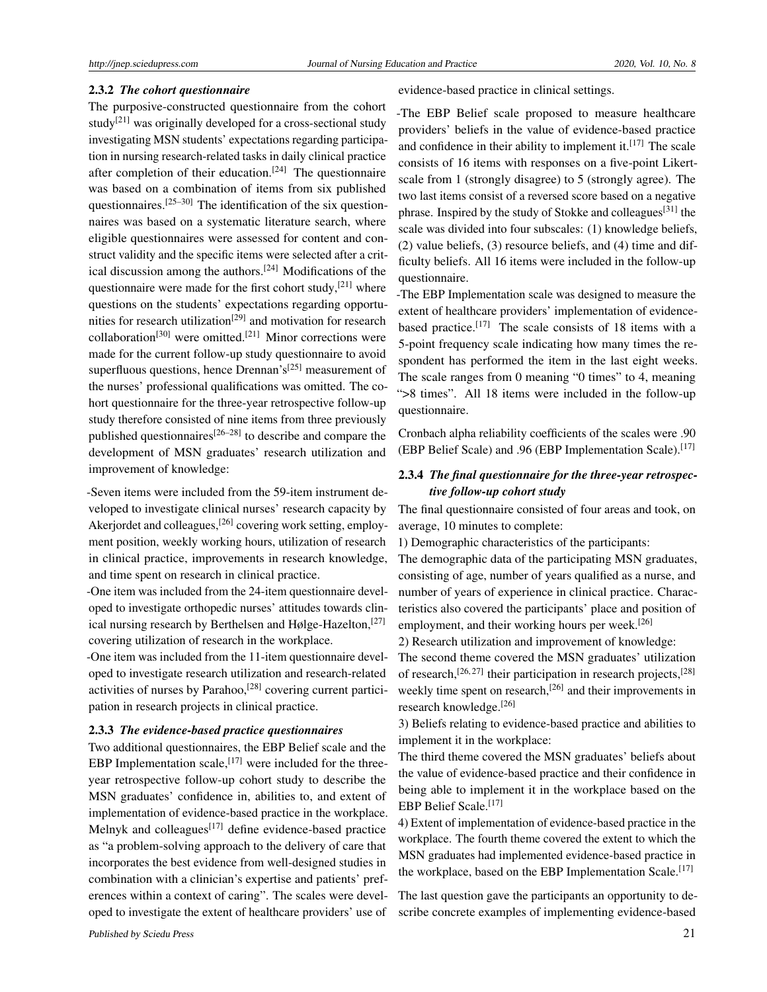#### 2.3.2 *The cohort questionnaire*

The purposive-constructed questionnaire from the cohort study<sup>[\[21\]](#page-10-6)</sup> was originally developed for a cross-sectional study investigating MSN students' expectations regarding participation in nursing research-related tasks in daily clinical practice after completion of their education.<sup>[\[24\]](#page-10-9)</sup> The questionnaire was based on a combination of items from six published questionnaires. $[25-30]$  $[25-30]$  The identification of the six questionnaires was based on a systematic literature search, where eligible questionnaires were assessed for content and construct validity and the specific items were selected after a critical discussion among the authors.[\[24\]](#page-10-9) Modifications of the questionnaire were made for the first cohort study, $[21]$  where questions on the students' expectations regarding opportu-nities for research utilization<sup>[\[29\]](#page-10-12)</sup> and motivation for research collaboration<sup>[\[30\]](#page-10-11)</sup> were omitted.<sup>[\[21\]](#page-10-6)</sup> Minor corrections were made for the current follow-up study questionnaire to avoid superfluous questions, hence Drennan's<sup>[\[25\]](#page-10-10)</sup> measurement of the nurses' professional qualifications was omitted. The cohort questionnaire for the three-year retrospective follow-up study therefore consisted of nine items from three previously published questionnaires<sup>[\[26](#page-10-13)[–28\]](#page-10-14)</sup> to describe and compare the development of MSN graduates' research utilization and improvement of knowledge:

-Seven items were included from the 59-item instrument developed to investigate clinical nurses' research capacity by Akerjordet and colleagues,<sup>[\[26\]](#page-10-13)</sup> covering work setting, employment position, weekly working hours, utilization of research in clinical practice, improvements in research knowledge, and time spent on research in clinical practice.

-One item was included from the 24-item questionnaire developed to investigate orthopedic nurses' attitudes towards clin-ical nursing research by Berthelsen and Hølge-Hazelton,<sup>[\[27\]](#page-10-15)</sup> covering utilization of research in the workplace.

-One item was included from the 11-item questionnaire developed to investigate research utilization and research-related activities of nurses by Parahoo,<sup>[\[28\]](#page-10-14)</sup> covering current participation in research projects in clinical practice.

#### 2.3.3 *The evidence-based practice questionnaires*

Two additional questionnaires, the EBP Belief scale and the EBP Implementation scale,  $[17]$  were included for the threeyear retrospective follow-up cohort study to describe the MSN graduates' confidence in, abilities to, and extent of implementation of evidence-based practice in the workplace. Melnyk and colleagues<sup>[\[17\]](#page-10-2)</sup> define evidence-based practice as "a problem-solving approach to the delivery of care that incorporates the best evidence from well-designed studies in combination with a clinician's expertise and patients' preferences within a context of caring". The scales were developed to investigate the extent of healthcare providers' use of evidence-based practice in clinical settings.

-The EBP Belief scale proposed to measure healthcare providers' beliefs in the value of evidence-based practice and confidence in their ability to implement it.<sup>[\[17\]](#page-10-2)</sup> The scale consists of 16 items with responses on a five-point Likertscale from 1 (strongly disagree) to 5 (strongly agree). The two last items consist of a reversed score based on a negative phrase. Inspired by the study of Stokke and colleagues<sup>[\[31\]](#page-10-16)</sup> the scale was divided into four subscales: (1) knowledge beliefs, (2) value beliefs, (3) resource beliefs, and (4) time and difficulty beliefs. All 16 items were included in the follow-up questionnaire.

-The EBP Implementation scale was designed to measure the extent of healthcare providers' implementation of evidence-based practice.<sup>[\[17\]](#page-10-2)</sup> The scale consists of 18 items with a 5-point frequency scale indicating how many times the respondent has performed the item in the last eight weeks. The scale ranges from 0 meaning "0 times" to 4, meaning ">8 times". All 18 items were included in the follow-up questionnaire.

Cronbach alpha reliability coefficients of the scales were .90 (EBP Belief Scale) and .96 (EBP Implementation Scale).<sup>[\[17\]](#page-10-2)</sup>

## 2.3.4 *The final questionnaire for the three-year retrospective follow-up cohort study*

The final questionnaire consisted of four areas and took, on average, 10 minutes to complete:

1) Demographic characteristics of the participants:

The demographic data of the participating MSN graduates, consisting of age, number of years qualified as a nurse, and number of years of experience in clinical practice. Characteristics also covered the participants' place and position of employment, and their working hours per week.<sup>[\[26\]](#page-10-13)</sup>

2) Research utilization and improvement of knowledge:

The second theme covered the MSN graduates' utilization of research,<sup>[\[26,](#page-10-13) [27\]](#page-10-15)</sup> their participation in research projects,<sup>[\[28\]](#page-10-14)</sup> weekly time spent on research,<sup>[\[26\]](#page-10-13)</sup> and their improvements in research knowledge.[\[26\]](#page-10-13)

3) Beliefs relating to evidence-based practice and abilities to implement it in the workplace:

The third theme covered the MSN graduates' beliefs about the value of evidence-based practice and their confidence in being able to implement it in the workplace based on the EBP Belief Scale.<sup>[\[17\]](#page-10-2)</sup>

4) Extent of implementation of evidence-based practice in the workplace. The fourth theme covered the extent to which the MSN graduates had implemented evidence-based practice in the workplace, based on the EBP Implementation Scale.<sup>[\[17\]](#page-10-2)</sup>

The last question gave the participants an opportunity to describe concrete examples of implementing evidence-based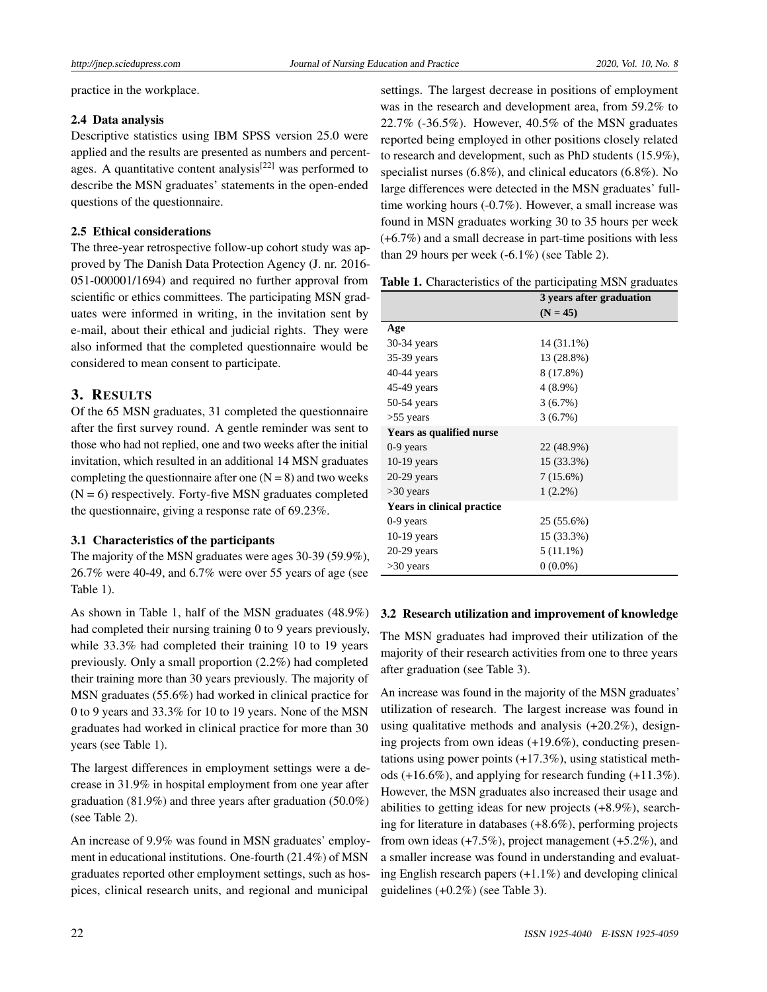practice in the workplace.

#### 2.4 Data analysis

Descriptive statistics using IBM SPSS version 25.0 were applied and the results are presented as numbers and percent-ages. A quantitative content analysis<sup>[\[22\]](#page-10-7)</sup> was performed to describe the MSN graduates' statements in the open-ended questions of the questionnaire.

#### 2.5 Ethical considerations

The three-year retrospective follow-up cohort study was approved by The Danish Data Protection Agency (J. nr. 2016- 051-000001/1694) and required no further approval from scientific or ethics committees. The participating MSN graduates were informed in writing, in the invitation sent by e-mail, about their ethical and judicial rights. They were also informed that the completed questionnaire would be considered to mean consent to participate.

## 3. RESULTS

Of the 65 MSN graduates, 31 completed the questionnaire after the first survey round. A gentle reminder was sent to those who had not replied, one and two weeks after the initial invitation, which resulted in an additional 14 MSN graduates completing the questionnaire after one  $(N = 8)$  and two weeks  $(N = 6)$  respectively. Forty-five MSN graduates completed the questionnaire, giving a response rate of 69.23%.

### 3.1 Characteristics of the participants

The majority of the MSN graduates were ages 30-39 (59.9%), 26.7% were 40-49, and 6.7% were over 55 years of age (see Table 1).

As shown in Table 1, half of the MSN graduates (48.9%) had completed their nursing training 0 to 9 years previously, while 33.3% had completed their training 10 to 19 years previously. Only a small proportion (2.2%) had completed their training more than 30 years previously. The majority of MSN graduates (55.6%) had worked in clinical practice for 0 to 9 years and 33.3% for 10 to 19 years. None of the MSN graduates had worked in clinical practice for more than 30 years (see Table 1).

The largest differences in employment settings were a decrease in 31.9% in hospital employment from one year after graduation (81.9%) and three years after graduation (50.0%) (see Table 2).

An increase of 9.9% was found in MSN graduates' employment in educational institutions. One-fourth (21.4%) of MSN graduates reported other employment settings, such as hospices, clinical research units, and regional and municipal

settings. The largest decrease in positions of employment was in the research and development area, from 59.2% to 22.7% (-36.5%). However, 40.5% of the MSN graduates reported being employed in other positions closely related to research and development, such as PhD students (15.9%), specialist nurses (6.8%), and clinical educators (6.8%). No large differences were detected in the MSN graduates' fulltime working hours (-0.7%). However, a small increase was found in MSN graduates working 30 to 35 hours per week (+6.7%) and a small decrease in part-time positions with less than 29 hours per week (-6.1%) (see Table 2).

Table 1. Characteristics of the participating MSN graduates

|                            | 3 years after graduation |
|----------------------------|--------------------------|
|                            | $(N = 45)$               |
| Age                        |                          |
| $30-34$ years              | 14 (31.1%)               |
| $35-39$ years              | 13 (28.8%)               |
| $40-44$ years              | 8 (17.8%)                |
| 45-49 years                | $4(8.9\%)$               |
| 50-54 years                | 3(6.7%)                  |
| $>55$ years                | 3(6.7%)                  |
| Years as qualified nurse   |                          |
| $0-9$ years                | 22 (48.9%)               |
| $10-19$ years              | 15 (33.3%)               |
| $20-29$ years              | $7(15.6\%)$              |
| >30 years                  | $1(2.2\%)$               |
| Years in clinical practice |                          |
| $0-9$ years                | 25 (55.6%)               |
| $10-19$ years              | 15 (33.3%)               |
| $20-29$ years              | $5(11.1\%)$              |
| $>30$ years                | $0(0.0\%)$               |

#### 3.2 Research utilization and improvement of knowledge

The MSN graduates had improved their utilization of the majority of their research activities from one to three years after graduation (see Table 3).

An increase was found in the majority of the MSN graduates' utilization of research. The largest increase was found in using qualitative methods and analysis (+20.2%), designing projects from own ideas (+19.6%), conducting presentations using power points (+17.3%), using statistical methods (+16.6%), and applying for research funding (+11.3%). However, the MSN graduates also increased their usage and abilities to getting ideas for new projects (+8.9%), searching for literature in databases (+8.6%), performing projects from own ideas (+7.5%), project management (+5.2%), and a smaller increase was found in understanding and evaluating English research papers (+1.1%) and developing clinical guidelines (+0.2%) (see Table 3).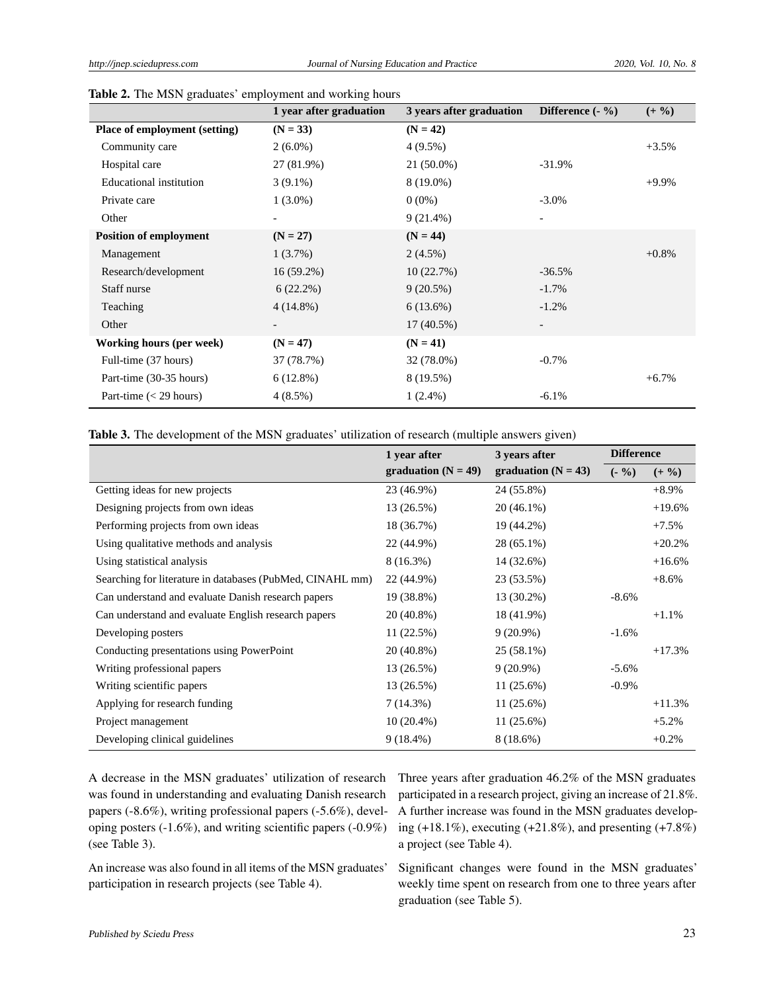|                               | 1 year after graduation | 3 years after graduation | Difference $(-\% )$ | $(+ 9/0)$ |
|-------------------------------|-------------------------|--------------------------|---------------------|-----------|
| Place of employment (setting) | $(N = 33)$              | $(N = 42)$               |                     |           |
| Community care                | $2(6.0\%)$              | $4(9.5\%)$               |                     | $+3.5%$   |
| Hospital care                 | 27 (81.9%)              | 21 (50.0%)               | $-31.9%$            |           |
| Educational institution       | $3(9.1\%)$              | 8 (19.0%)                |                     | $+9.9\%$  |
| Private care                  | $1(3.0\%)$              | $0(0\%)$                 | $-3.0\%$            |           |
| Other                         |                         | $9(21.4\%)$              |                     |           |
| <b>Position of employment</b> | $(N = 27)$              | $(N = 44)$               |                     |           |
| Management                    | $1(3.7\%)$              | $2(4.5\%)$               |                     | $+0.8\%$  |
| Research/development          | $16(59.2\%)$            | 10(22.7%)                | $-36.5%$            |           |
| Staff nurse                   | $6(22.2\%)$             | $9(20.5\%)$              | $-1.7\%$            |           |
| Teaching                      | $4(14.8\%)$             | 6(13.6%)                 | $-1.2%$             |           |
| Other                         |                         | $17(40.5\%)$             |                     |           |
| Working hours (per week)      | $(N = 47)$              | $(N = 41)$               |                     |           |
| Full-time (37 hours)          | 37 (78.7%)              | 32 (78.0%)               | $-0.7\%$            |           |
| Part-time (30-35 hours)       | $6(12.8\%)$             | 8 (19.5%)                |                     | $+6.7\%$  |
| Part-time $(< 29$ hours)      | $4(8.5\%)$              | $1(2.4\%)$               | $-6.1%$             |           |

Table 2. The MSN graduates' employment and working hours

Table 3. The development of the MSN graduates' utilization of research (multiple answers given)

|                                                           | 1 year after          | 3 years after         | <b>Difference</b> |           |
|-----------------------------------------------------------|-----------------------|-----------------------|-------------------|-----------|
|                                                           | graduation $(N = 49)$ | graduation $(N = 43)$ | $(-\frac{9}{6})$  | $(+ 9/0)$ |
| Getting ideas for new projects                            | 23 (46.9%)            | 24 (55.8%)            |                   | $+8.9\%$  |
| Designing projects from own ideas                         | 13 (26.5%)            | $20(46.1\%)$          |                   | $+19.6%$  |
| Performing projects from own ideas                        | 18 (36.7%)            | 19 (44.2%)            |                   | $+7.5%$   |
| Using qualitative methods and analysis                    | 22 (44.9%)            | 28 (65.1%)            |                   | $+20.2%$  |
| Using statistical analysis                                | $8(16.3\%)$           | 14 (32.6%)            |                   | $+16.6%$  |
| Searching for literature in databases (PubMed, CINAHL mm) | 22 (44.9%)            | 23 (53.5%)            |                   | $+8.6\%$  |
| Can understand and evaluate Danish research papers        | 19 (38.8%)            | $13(30.2\%)$          | $-8.6\%$          |           |
| Can understand and evaluate English research papers       | 20 (40.8%)            | 18 (41.9%)            |                   | $+1.1%$   |
| Developing posters                                        | 11 (22.5%)            | $9(20.9\%)$           | $-1.6%$           |           |
| Conducting presentations using PowerPoint                 | 20 (40.8%)            | 25 (58.1%)            |                   | $+17.3%$  |
| Writing professional papers                               | 13 (26.5%)            | $9(20.9\%)$           | $-5.6%$           |           |
| Writing scientific papers                                 | 13 (26.5%)            | 11 (25.6%)            | $-0.9\%$          |           |
| Applying for research funding                             | 7(14.3%)              | $11(25.6\%)$          |                   | $+11.3%$  |
| Project management                                        | $10(20.4\%)$          | $11(25.6\%)$          |                   | $+5.2%$   |
| Developing clinical guidelines                            | $9(18.4\%)$           | $8(18.6\%)$           |                   | $+0.2%$   |

A decrease in the MSN graduates' utilization of research was found in understanding and evaluating Danish research papers (-8.6%), writing professional papers (-5.6%), developing posters (-1.6%), and writing scientific papers (-0.9%) (see Table 3).

Three years after graduation 46.2% of the MSN graduates participated in a research project, giving an increase of 21.8%. A further increase was found in the MSN graduates developing  $(+18.1\%)$ , executing  $(+21.8\%)$ , and presenting  $(+7.8\%)$ a project (see Table 4).

An increase was also found in all items of the MSN graduates' participation in research projects (see Table 4).

Significant changes were found in the MSN graduates' weekly time spent on research from one to three years after graduation (see Table 5).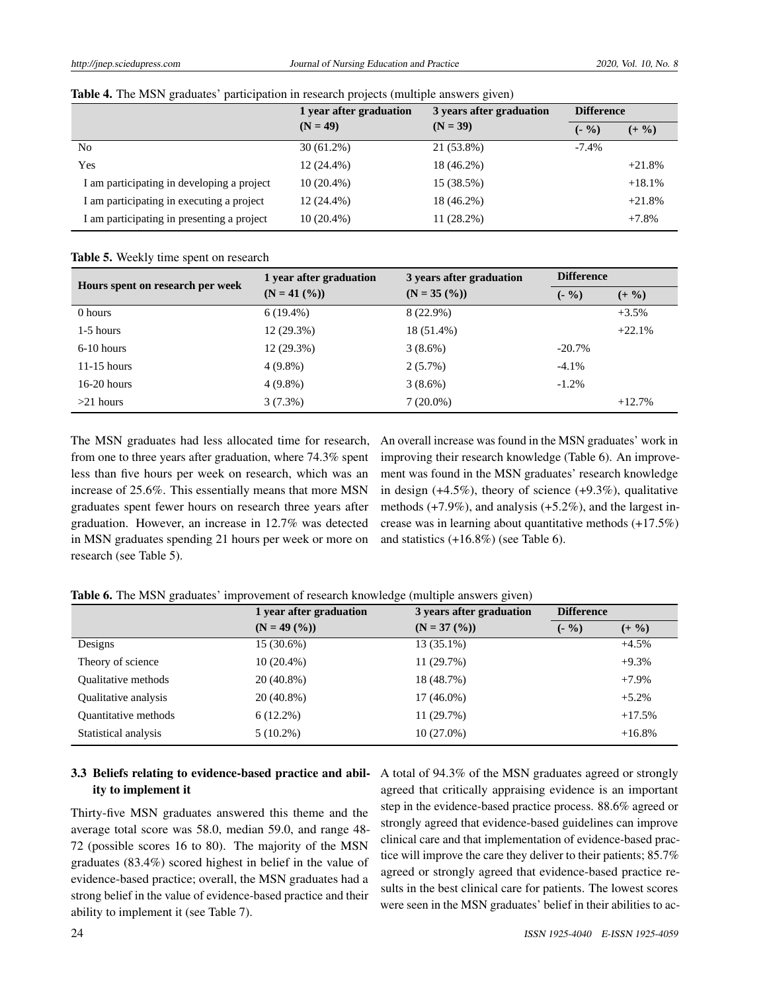|  |  |  |  | Table 4. The MSN graduates' participation in research projects (multiple answers given) |  |  |  |  |
|--|--|--|--|-----------------------------------------------------------------------------------------|--|--|--|--|
|--|--|--|--|-----------------------------------------------------------------------------------------|--|--|--|--|

|                                            | 1 year after graduation | 3 years after graduation | <b>Difference</b> |           |
|--------------------------------------------|-------------------------|--------------------------|-------------------|-----------|
|                                            | $(N = 49)$              | $(N = 39)$               | $(-\frac{9}{6})$  | $(+ 9/0)$ |
| No                                         | $30(61.2\%)$            | 21 (53.8%)               | $-7.4\%$          |           |
| Yes                                        | $12(24.4\%)$            | 18 (46.2%)               |                   | $+21.8%$  |
| I am participating in developing a project | $10(20.4\%)$            | 15 (38.5%)               |                   | $+18.1%$  |
| I am participating in executing a project  | $12(24.4\%)$            | 18 (46.2%)               |                   | $+21.8%$  |
| I am participating in presenting a project | $10(20.4\%)$            | $11(28.2\%)$             |                   | $+7.8%$   |

Table 5. Weekly time spent on research

| Hours spent on research per week | 1 year after graduation | 3 years after graduation | <b>Difference</b> |           |  |
|----------------------------------|-------------------------|--------------------------|-------------------|-----------|--|
|                                  | $(N = 41 (%))$          | $(N = 35 \, (%)$         | $(-\frac{9}{6})$  | $(+ 9/0)$ |  |
| 0 hours                          | $6(19.4\%)$             | $8(22.9\%)$              |                   | $+3.5%$   |  |
| $1-5$ hours                      | $12(29.3\%)$            | 18 (51.4%)               |                   | $+22.1%$  |  |
| $6-10$ hours                     | $12(29.3\%)$            | $3(8.6\%)$               | $-20.7%$          |           |  |
| $11-15$ hours                    | $4(9.8\%)$              | $2(5.7\%)$               | $-4.1\%$          |           |  |
| $16-20$ hours                    | $4(9.8\%)$              | $3(8.6\%)$               | $-1.2\%$          |           |  |
| $>21$ hours                      | $3(7.3\%)$              | $7(20.0\%)$              |                   | $+12.7%$  |  |

The MSN graduates had less allocated time for research, from one to three years after graduation, where 74.3% spent less than five hours per week on research, which was an increase of 25.6%. This essentially means that more MSN graduates spent fewer hours on research three years after graduation. However, an increase in 12.7% was detected in MSN graduates spending 21 hours per week or more on research (see Table 5).

An overall increase was found in the MSN graduates' work in improving their research knowledge (Table 6). An improvement was found in the MSN graduates' research knowledge in design  $(+4.5\%)$ , theory of science  $(+9.3\%)$ , qualitative methods (+7.9%), and analysis (+5.2%), and the largest increase was in learning about quantitative methods (+17.5%) and statistics  $(+16.8\%)$  (see Table 6).

Table 6. The MSN graduates' improvement of research knowledge (multiple answers given)

|                             | 1 year after graduation | 3 years after graduation | <b>Difference</b> |           |
|-----------------------------|-------------------------|--------------------------|-------------------|-----------|
|                             | $(N = 49 (%))$          | $(N = 37 (%))$           | $(-\% )$          | $(+ 9/0)$ |
| Designs                     | 15 (30.6%)              | $13(35.1\%)$             |                   | $+4.5%$   |
| Theory of science           | $10(20.4\%)$            | 11(29.7%)                |                   | $+9.3%$   |
| <b>Oualitative methods</b>  | $20(40.8\%)$            | 18 (48.7%)               |                   | $+7.9\%$  |
| Qualitative analysis        | $20(40.8\%)$            | $17(46.0\%)$             |                   | $+5.2%$   |
| <b>Ouantitative methods</b> | $6(12.2\%)$             | 11(29.7%)                |                   | $+17.5%$  |
| Statistical analysis        | $5(10.2\%)$             | $10(27.0\%)$             |                   | $+16.8%$  |

### 3.3 Beliefs relating to evidence-based practice and ability to implement it

Thirty-five MSN graduates answered this theme and the average total score was 58.0, median 59.0, and range 48- 72 (possible scores 16 to 80). The majority of the MSN graduates (83.4%) scored highest in belief in the value of evidence-based practice; overall, the MSN graduates had a strong belief in the value of evidence-based practice and their ability to implement it (see Table 7).

A total of 94.3% of the MSN graduates agreed or strongly agreed that critically appraising evidence is an important step in the evidence-based practice process. 88.6% agreed or strongly agreed that evidence-based guidelines can improve clinical care and that implementation of evidence-based practice will improve the care they deliver to their patients; 85.7% agreed or strongly agreed that evidence-based practice results in the best clinical care for patients. The lowest scores were seen in the MSN graduates' belief in their abilities to ac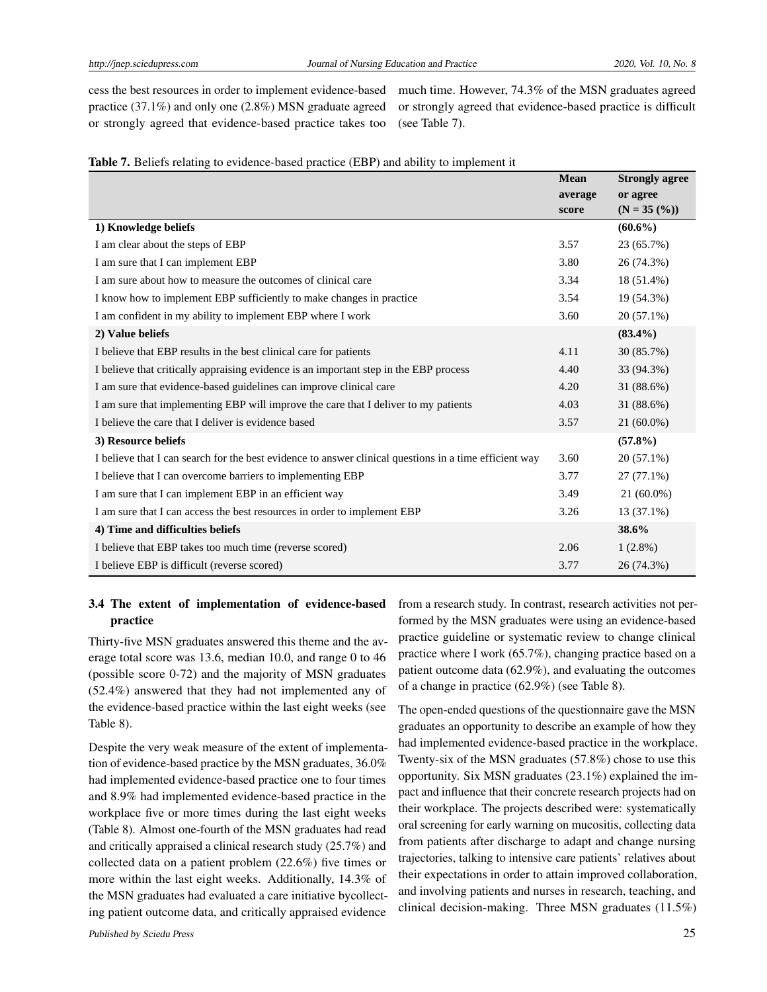cess the best resources in order to implement evidence-based practice (37.1%) and only one (2.8%) MSN graduate agreed or strongly agreed that evidence-based practice takes too

much time. However, 74.3% of the MSN graduates agreed or strongly agreed that evidence-based practice is difficult (see Table 7).

| Table 7. Beliefs relating to evidence-based practice (EBP) and ability to implement it |  |  |
|----------------------------------------------------------------------------------------|--|--|
|----------------------------------------------------------------------------------------|--|--|

|                                                                                                        | <b>Mean</b> | <b>Strongly agree</b> |
|--------------------------------------------------------------------------------------------------------|-------------|-----------------------|
|                                                                                                        | average     | or agree              |
|                                                                                                        | score       | $(N = 35 (%))$        |
| 1) Knowledge beliefs                                                                                   |             | $(60.6\%)$            |
| I am clear about the steps of EBP                                                                      | 3.57        | 23 (65.7%)            |
| I am sure that I can implement EBP                                                                     | 3.80        | 26 (74.3%)            |
| I am sure about how to measure the outcomes of clinical care                                           | 3.34        | 18 (51.4%)            |
| I know how to implement EBP sufficiently to make changes in practice                                   | 3.54        | 19 (54.3%)            |
| I am confident in my ability to implement EBP where I work                                             | 3.60        | 20 (57.1%)            |
| 2) Value beliefs                                                                                       |             | $(83.4\%)$            |
| I believe that EBP results in the best clinical care for patients                                      | 4.11        | 30 (85.7%)            |
| I believe that critically appraising evidence is an important step in the EBP process                  | 4.40        | 33 (94.3%)            |
| I am sure that evidence-based guidelines can improve clinical care                                     | 4.20        | 31 (88.6%)            |
| I am sure that implementing EBP will improve the care that I deliver to my patients                    | 4.03        | 31 (88.6%)            |
| I believe the care that I deliver is evidence based                                                    | 3.57        | $21(60.0\%)$          |
| 3) Resource beliefs                                                                                    |             | $(57.8\%)$            |
| I believe that I can search for the best evidence to answer clinical questions in a time efficient way | 3.60        | $20(57.1\%)$          |
| I believe that I can overcome barriers to implementing EBP                                             | 3.77        | $27(77.1\%)$          |
| I am sure that I can implement EBP in an efficient way                                                 | 3.49        | $21(60.0\%)$          |
| I am sure that I can access the best resources in order to implement EBP                               | 3.26        | 13 (37.1%)            |
| 4) Time and difficulties beliefs                                                                       |             | 38.6%                 |
| I believe that EBP takes too much time (reverse scored)                                                | 2.06        | $1(2.8\%)$            |
| I believe EBP is difficult (reverse scored)                                                            | 3.77        | 26 (74.3%)            |

## 3.4 The extent of implementation of evidence-based practice

Thirty-five MSN graduates answered this theme and the average total score was 13.6, median 10.0, and range 0 to 46 (possible score 0-72) and the majority of MSN graduates (52.4%) answered that they had not implemented any of the evidence-based practice within the last eight weeks (see Table 8).

Despite the very weak measure of the extent of implementation of evidence-based practice by the MSN graduates, 36.0% had implemented evidence-based practice one to four times and 8.9% had implemented evidence-based practice in the workplace five or more times during the last eight weeks (Table 8). Almost one-fourth of the MSN graduates had read and critically appraised a clinical research study (25.7%) and collected data on a patient problem (22.6%) five times or more within the last eight weeks. Additionally, 14.3% of the MSN graduates had evaluated a care initiative bycollecting patient outcome data, and critically appraised evidence from a research study. In contrast, research activities not performed by the MSN graduates were using an evidence-based practice guideline or systematic review to change clinical practice where I work (65.7%), changing practice based on a patient outcome data (62.9%), and evaluating the outcomes of a change in practice (62.9%) (see Table 8).

The open-ended questions of the questionnaire gave the MSN graduates an opportunity to describe an example of how they had implemented evidence-based practice in the workplace. Twenty-six of the MSN graduates (57.8%) chose to use this opportunity. Six MSN graduates (23.1%) explained the impact and influence that their concrete research projects had on their workplace. The projects described were: systematically oral screening for early warning on mucositis, collecting data from patients after discharge to adapt and change nursing trajectories, talking to intensive care patients' relatives about their expectations in order to attain improved collaboration, and involving patients and nurses in research, teaching, and clinical decision-making. Three MSN graduates (11.5%)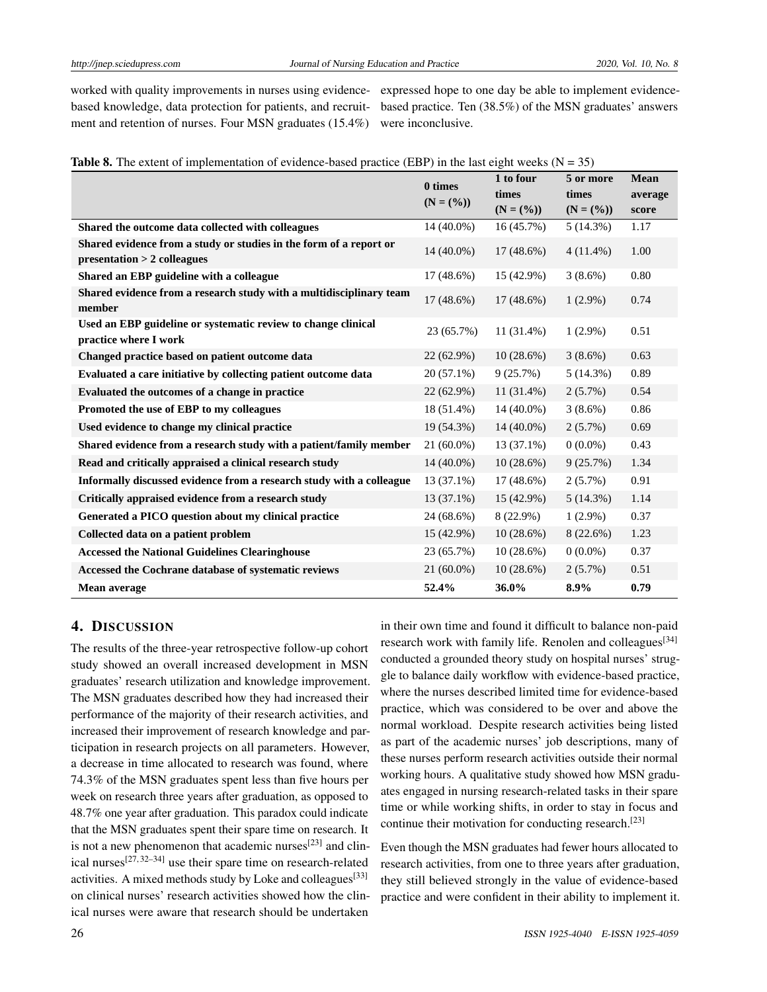worked with quality improvements in nurses using evidence-expressed hope to one day be able to implement evidencebased knowledge, data protection for patients, and recruit-based practice. Ten (38.5%) of the MSN graduates' answers ment and retention of nurses. Four MSN graduates (15.4%) were inconclusive.

|  |  | <b>Table 8.</b> The extent of implementation of evidence-based practice (EBP) in the last eight weeks ( $N = 35$ ) |  |  |  |  |
|--|--|--------------------------------------------------------------------------------------------------------------------|--|--|--|--|
|  |  |                                                                                                                    |  |  |  |  |

|                                                                                                     | 0 times<br>$(N = (%))$ | 1 to four<br>times        | 5 or more<br>times      | <b>Mean</b><br>average |
|-----------------------------------------------------------------------------------------------------|------------------------|---------------------------|-------------------------|------------------------|
| Shared the outcome data collected with colleagues                                                   | 14 (40.0%)             | $(N = (%))$<br>16 (45.7%) | $(N = (%))$<br>5(14.3%) | score<br>1.17          |
| Shared evidence from a study or studies in the form of a report or<br>$presentation > 2$ colleagues | $14(40.0\%)$           | $17(48.6\%)$              | $4(11.4\%)$             | 1.00                   |
| Shared an EBP guideline with a colleague                                                            | $17(48.6\%)$           | 15 (42.9%)                | $3(8.6\%)$              | 0.80                   |
| Shared evidence from a research study with a multidisciplinary team<br>member                       | $17(48.6\%)$           | $17(48.6\%)$              | $1(2.9\%)$              | 0.74                   |
| Used an EBP guideline or systematic review to change clinical<br>practice where I work              | 23 (65.7%)             | $11(31.4\%)$              | $1(2.9\%)$              | 0.51                   |
| Changed practice based on patient outcome data                                                      | $22(62.9\%)$           | 10(28.6%)                 | $3(8.6\%)$              | 0.63                   |
| Evaluated a care initiative by collecting patient outcome data                                      | 20 (57.1%)             | 9(25.7%)                  | 5(14.3%)                | 0.89                   |
| Evaluated the outcomes of a change in practice                                                      | 22 (62.9%)             | $11(31.4\%)$              | $2(5.7\%)$              | 0.54                   |
| Promoted the use of EBP to my colleagues                                                            | 18 (51.4%)             | 14 (40.0%)                | $3(8.6\%)$              | 0.86                   |
| Used evidence to change my clinical practice                                                        | 19 (54.3%)             | $14(40.0\%)$              | $2(5.7\%)$              | 0.69                   |
| Shared evidence from a research study with a patient/family member                                  | $21(60.0\%)$           | $13(37.1\%)$              | $0(0.0\%)$              | 0.43                   |
| Read and critically appraised a clinical research study                                             | $14(40.0\%)$           | 10(28.6%)                 | 9(25.7%)                | 1.34                   |
| Informally discussed evidence from a research study with a colleague                                | $13(37.1\%)$           | $17(48.6\%)$              | $2(5.7\%)$              | 0.91                   |
| Critically appraised evidence from a research study                                                 | $13(37.1\%)$           | $15(42.9\%)$              | 5(14.3%)                | 1.14                   |
| Generated a PICO question about my clinical practice                                                | 24 (68.6%)             | $8(22.9\%)$               | $1(2.9\%)$              | 0.37                   |
| Collected data on a patient problem                                                                 | 15 (42.9%)             | 10(28.6%)                 | 8 (22.6%)               | 1.23                   |
| <b>Accessed the National Guidelines Clearinghouse</b>                                               | 23 (65.7%)             | 10(28.6%)                 | $0(0.0\%)$              | 0.37                   |
| Accessed the Cochrane database of systematic reviews                                                | 21 (60.0%)             | 10(28.6%)                 | $2(5.7\%)$              | 0.51                   |
| Mean average                                                                                        | 52.4%                  | 36.0%                     | 8.9%                    | 0.79                   |

## 4. DISCUSSION

The results of the three-year retrospective follow-up cohort study showed an overall increased development in MSN graduates' research utilization and knowledge improvement. The MSN graduates described how they had increased their performance of the majority of their research activities, and increased their improvement of research knowledge and participation in research projects on all parameters. However, a decrease in time allocated to research was found, where 74.3% of the MSN graduates spent less than five hours per week on research three years after graduation, as opposed to 48.7% one year after graduation. This paradox could indicate that the MSN graduates spent their spare time on research. It is not a new phenomenon that academic nurses<sup>[\[23\]](#page-10-8)</sup> and clinical nurses $^{[27,32-34]}$  $^{[27,32-34]}$  $^{[27,32-34]}$  $^{[27,32-34]}$  use their spare time on research-related activities. A mixed methods study by Loke and colleagues  $[33]$ on clinical nurses' research activities showed how the clinical nurses were aware that research should be undertaken

in their own time and found it difficult to balance non-paid research work with family life. Renolen and colleagues<sup>[\[34\]](#page-10-18)</sup> conducted a grounded theory study on hospital nurses' struggle to balance daily workflow with evidence-based practice, where the nurses described limited time for evidence-based practice, which was considered to be over and above the normal workload. Despite research activities being listed as part of the academic nurses' job descriptions, many of these nurses perform research activities outside their normal working hours. A qualitative study showed how MSN graduates engaged in nursing research-related tasks in their spare time or while working shifts, in order to stay in focus and continue their motivation for conducting research.<sup>[\[23\]](#page-10-8)</sup>

Even though the MSN graduates had fewer hours allocated to research activities, from one to three years after graduation, they still believed strongly in the value of evidence-based practice and were confident in their ability to implement it.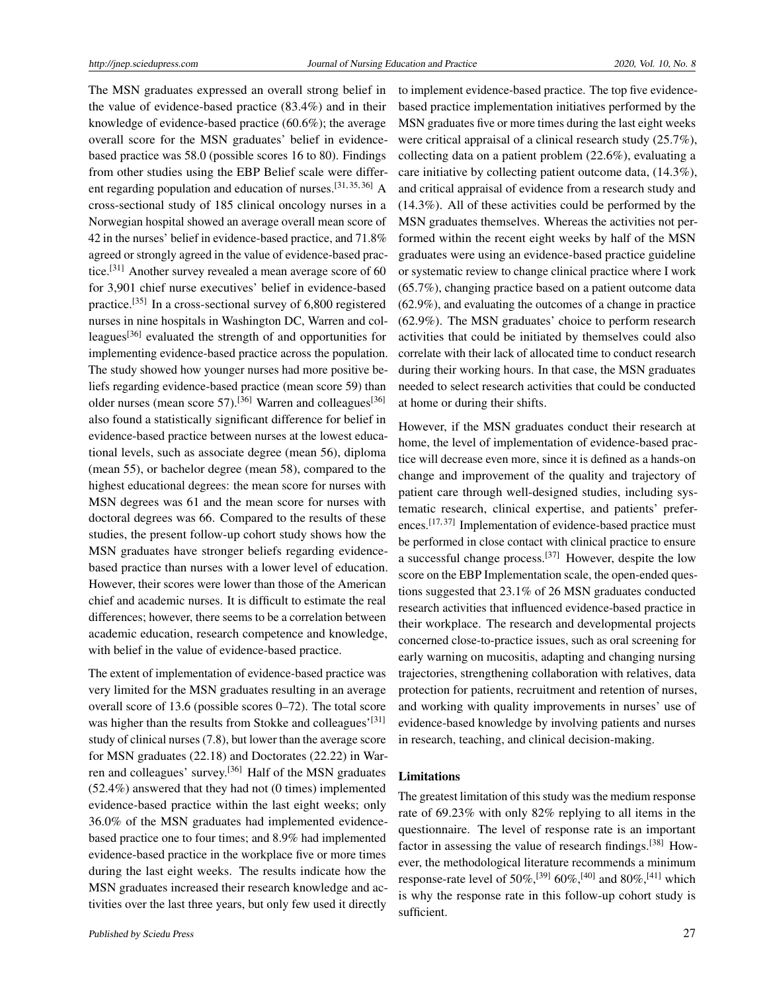The MSN graduates expressed an overall strong belief in the value of evidence-based practice (83.4%) and in their knowledge of evidence-based practice (60.6%); the average overall score for the MSN graduates' belief in evidencebased practice was 58.0 (possible scores 16 to 80). Findings from other studies using the EBP Belief scale were different regarding population and education of nurses.[\[31,](#page-10-16) [35,](#page-10-20) [36\]](#page-10-21) A cross-sectional study of 185 clinical oncology nurses in a Norwegian hospital showed an average overall mean score of 42 in the nurses' belief in evidence-based practice, and 71.8% agreed or strongly agreed in the value of evidence-based practice.[\[31\]](#page-10-16) Another survey revealed a mean average score of 60 for 3,901 chief nurse executives' belief in evidence-based practice.<sup>[\[35\]](#page-10-20)</sup> In a cross-sectional survey of 6,800 registered nurses in nine hospitals in Washington DC, Warren and col-leagues<sup>[\[36\]](#page-10-21)</sup> evaluated the strength of and opportunities for implementing evidence-based practice across the population. The study showed how younger nurses had more positive beliefs regarding evidence-based practice (mean score 59) than older nurses (mean score 57).<sup>[\[36\]](#page-10-21)</sup> Warren and colleagues<sup>[36]</sup> also found a statistically significant difference for belief in evidence-based practice between nurses at the lowest educational levels, such as associate degree (mean 56), diploma (mean 55), or bachelor degree (mean 58), compared to the highest educational degrees: the mean score for nurses with MSN degrees was 61 and the mean score for nurses with doctoral degrees was 66. Compared to the results of these studies, the present follow-up cohort study shows how the MSN graduates have stronger beliefs regarding evidencebased practice than nurses with a lower level of education. However, their scores were lower than those of the American chief and academic nurses. It is difficult to estimate the real differences; however, there seems to be a correlation between academic education, research competence and knowledge, with belief in the value of evidence-based practice.

The extent of implementation of evidence-based practice was very limited for the MSN graduates resulting in an average overall score of 13.6 (possible scores 0–72). The total score was higher than the results from Stokke and colleagues'<sup>[\[31\]](#page-10-16)</sup> study of clinical nurses (7.8), but lower than the average score for MSN graduates (22.18) and Doctorates (22.22) in Warren and colleagues' survey.[\[36\]](#page-10-21) Half of the MSN graduates (52.4%) answered that they had not (0 times) implemented evidence-based practice within the last eight weeks; only 36.0% of the MSN graduates had implemented evidencebased practice one to four times; and 8.9% had implemented evidence-based practice in the workplace five or more times during the last eight weeks. The results indicate how the MSN graduates increased their research knowledge and activities over the last three years, but only few used it directly to implement evidence-based practice. The top five evidencebased practice implementation initiatives performed by the MSN graduates five or more times during the last eight weeks were critical appraisal of a clinical research study (25.7%). collecting data on a patient problem (22.6%), evaluating a care initiative by collecting patient outcome data, (14.3%), and critical appraisal of evidence from a research study and (14.3%). All of these activities could be performed by the MSN graduates themselves. Whereas the activities not performed within the recent eight weeks by half of the MSN graduates were using an evidence-based practice guideline or systematic review to change clinical practice where I work (65.7%), changing practice based on a patient outcome data (62.9%), and evaluating the outcomes of a change in practice (62.9%). The MSN graduates' choice to perform research activities that could be initiated by themselves could also correlate with their lack of allocated time to conduct research during their working hours. In that case, the MSN graduates needed to select research activities that could be conducted at home or during their shifts.

However, if the MSN graduates conduct their research at home, the level of implementation of evidence-based practice will decrease even more, since it is defined as a hands-on change and improvement of the quality and trajectory of patient care through well-designed studies, including systematic research, clinical expertise, and patients' prefer-ences.<sup>[\[17,](#page-10-2)[37\]](#page-10-22)</sup> Implementation of evidence-based practice must be performed in close contact with clinical practice to ensure a successful change process.[\[37\]](#page-10-22) However, despite the low score on the EBP Implementation scale, the open-ended questions suggested that 23.1% of 26 MSN graduates conducted research activities that influenced evidence-based practice in their workplace. The research and developmental projects concerned close-to-practice issues, such as oral screening for early warning on mucositis, adapting and changing nursing trajectories, strengthening collaboration with relatives, data protection for patients, recruitment and retention of nurses, and working with quality improvements in nurses' use of evidence-based knowledge by involving patients and nurses in research, teaching, and clinical decision-making.

## Limitations

The greatest limitation of this study was the medium response rate of 69.23% with only 82% replying to all items in the questionnaire. The level of response rate is an important factor in assessing the value of research findings.<sup>[\[38\]](#page-10-23)</sup> However, the methodological literature recommends a minimum response-rate level of 50%,<sup>[\[39\]](#page-10-24)</sup> 60%,<sup>[\[40\]](#page-10-25)</sup> and 80%,<sup>[\[41\]](#page-10-26)</sup> which is why the response rate in this follow-up cohort study is sufficient.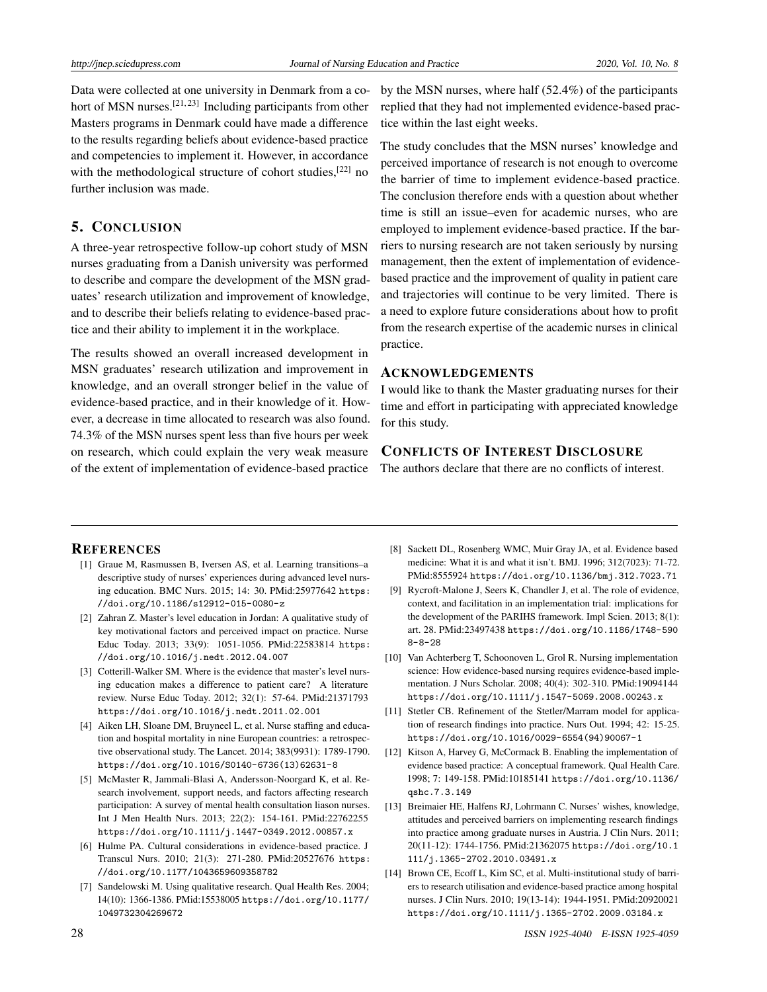Data were collected at one university in Denmark from a co-hort of MSN nurses.<sup>[\[21,](#page-10-6)[23\]](#page-10-8)</sup> Including participants from other Masters programs in Denmark could have made a difference to the results regarding beliefs about evidence-based practice and competencies to implement it. However, in accordance with the methodological structure of cohort studies, $[22]$  no further inclusion was made.

#### 5. CONCLUSION

A three-year retrospective follow-up cohort study of MSN nurses graduating from a Danish university was performed to describe and compare the development of the MSN graduates' research utilization and improvement of knowledge, and to describe their beliefs relating to evidence-based practice and their ability to implement it in the workplace.

The results showed an overall increased development in MSN graduates' research utilization and improvement in knowledge, and an overall stronger belief in the value of evidence-based practice, and in their knowledge of it. However, a decrease in time allocated to research was also found. 74.3% of the MSN nurses spent less than five hours per week on research, which could explain the very weak measure of the extent of implementation of evidence-based practice

by the MSN nurses, where half (52.4%) of the participants replied that they had not implemented evidence-based practice within the last eight weeks.

The study concludes that the MSN nurses' knowledge and perceived importance of research is not enough to overcome the barrier of time to implement evidence-based practice. The conclusion therefore ends with a question about whether time is still an issue–even for academic nurses, who are employed to implement evidence-based practice. If the barriers to nursing research are not taken seriously by nursing management, then the extent of implementation of evidencebased practice and the improvement of quality in patient care and trajectories will continue to be very limited. There is a need to explore future considerations about how to profit from the research expertise of the academic nurses in clinical practice.

#### ACKNOWLEDGEMENTS

I would like to thank the Master graduating nurses for their time and effort in participating with appreciated knowledge for this study.

## CONFLICTS OF INTEREST DISCLOSURE

The authors declare that there are no conflicts of interest.

#### **REFERENCES**

- <span id="page-9-0"></span>[1] Graue M, Rasmussen B, Iversen AS, et al. Learning transitions–a descriptive study of nurses' experiences during advanced level nursing education. BMC Nurs. 2015; 14: 30. PMid:25977642 [https:](https://doi.org/10.1186/s12912-015-0080-z) [//doi.org/10.1186/s12912-015-0080-z](https://doi.org/10.1186/s12912-015-0080-z)
- <span id="page-9-1"></span>[2] Zahran Z. Master's level education in Jordan: A qualitative study of key motivational factors and perceived impact on practice. Nurse Educ Today. 2013; 33(9): 1051-1056. PMid:22583814 [https:](https://doi.org/10.1016/j.nedt.2012.04.007) [//doi.org/10.1016/j.nedt.2012.04.007](https://doi.org/10.1016/j.nedt.2012.04.007)
- <span id="page-9-2"></span>[3] Cotterill-Walker SM. Where is the evidence that master's level nursing education makes a difference to patient care? A literature review. Nurse Educ Today. 2012; 32(1): 57-64. PMid:21371793 <https://doi.org/10.1016/j.nedt.2011.02.001>
- <span id="page-9-3"></span>[4] Aiken LH, Sloane DM, Bruyneel L, et al. Nurse staffing and education and hospital mortality in nine European countries: a retrospective observational study. The Lancet. 2014; 383(9931): 1789-1790. [https://doi.org/10.1016/S0140-6736\(13\)62631-8](https://doi.org/10.1016/S0140-6736(13)62631-8)
- <span id="page-9-4"></span>[5] McMaster R, Jammali-Blasi A, Andersson-Noorgard K, et al. Research involvement, support needs, and factors affecting research participation: A survey of mental health consultation liason nurses. Int J Men Health Nurs. 2013; 22(2): 154-161. PMid:22762255 [https://doi.org/10.1111/j.1447-0349.2012.00857.x](https://doi.org/10.1111/j.1447-0349.2012.00857.x )
- <span id="page-9-5"></span>[6] Hulme PA. Cultural considerations in evidence-based practice. J Transcul Nurs. 2010; 21(3): 271-280. PMid:20527676 [https:](https://doi.org/10.1177/1043659609358782) [//doi.org/10.1177/1043659609358782](https://doi.org/10.1177/1043659609358782)
- <span id="page-9-6"></span>[7] Sandelowski M. Using qualitative research. Qual Health Res. 2004; 14(10): 1366-1386. PMid:15538005 [https://doi.org/10.1177/](https://doi.org/10.1177/1049732304269672) [1049732304269672](https://doi.org/10.1177/1049732304269672)
- <span id="page-9-7"></span>[8] Sackett DL, Rosenberg WMC, Muir Gray JA, et al. Evidence based medicine: What it is and what it isn't. BMJ. 1996; 312(7023): 71-72. PMid:8555924 <https://doi.org/10.1136/bmj.312.7023.71>
- <span id="page-9-8"></span>[9] Rycroft-Malone J, Seers K, Chandler J, et al. The role of evidence, context, and facilitation in an implementation trial: implications for the development of the PARIHS framework. Impl Scien. 2013; 8(1): art. 28. PMid:23497438 [https://doi.org/10.1186/1748-590](https://doi.org/10.1186/1748-5908-8-28) [8-8-28](https://doi.org/10.1186/1748-5908-8-28)
- <span id="page-9-9"></span>[10] Van Achterberg T, Schoonoven L, Grol R. Nursing implementation science: How evidence-based nursing requires evidence-based implementation. J Nurs Scholar. 2008; 40(4): 302-310. PMid:19094144 <https://doi.org/10.1111/j.1547-5069.2008.00243.x>
- <span id="page-9-10"></span>[11] Stetler CB. Refinement of the Stetler/Marram model for application of research findings into practice. Nurs Out. 1994; 42: 15-25. [https://doi.org/10.1016/0029-6554\(94\)90067-1](https://doi.org/10.1016/0029-6554(94)90067-1)
- <span id="page-9-11"></span>[12] Kitson A, Harvey G, McCormack B. Enabling the implementation of evidence based practice: A conceptual framework. Qual Health Care. 1998; 7: 149-158. PMid:10185141 [https://doi.org/10.1136/](https://doi.org/10.1136/qshc.7.3.149) [qshc.7.3.149](https://doi.org/10.1136/qshc.7.3.149)
- <span id="page-9-12"></span>[13] Breimaier HE, Halfens RJ, Lohrmann C. Nurses' wishes, knowledge, attitudes and perceived barriers on implementing research findings into practice among graduate nurses in Austria. J Clin Nurs. 2011; 20(11-12): 1744-1756. PMid:21362075 [https://doi.org/10.1](https://doi.org/10.1111/j.1365-2702.2010.03491.x) [111/j.1365-2702.2010.03491.x](https://doi.org/10.1111/j.1365-2702.2010.03491.x)
- <span id="page-9-13"></span>[14] Brown CE, Ecoff L, Kim SC, et al. Multi-institutional study of barriers to research utilisation and evidence-based practice among hospital nurses. J Clin Nurs. 2010; 19(13-14): 1944-1951. PMid:20920021 <https://doi.org/10.1111/j.1365-2702.2009.03184.x>